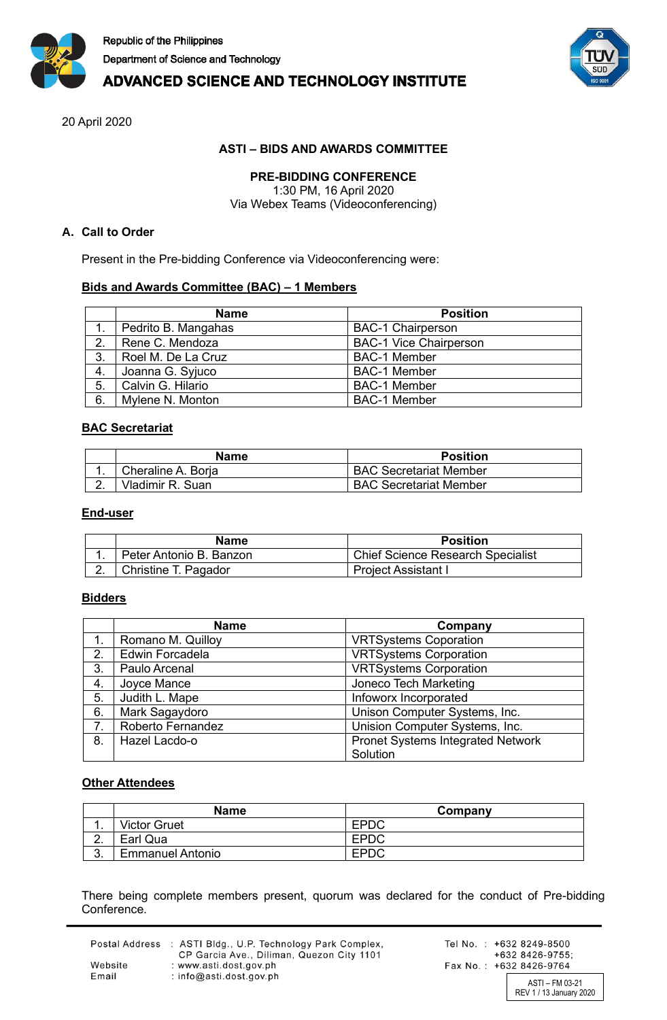



20 April 2020

### **ASTI – BIDS AND AWARDS COMMITTEE**

**PRE-BIDDING CONFERENCE**

1:30 PM, 16 April 2020 Via Webex Teams (Videoconferencing)

# **A. Call to Order**

Present in the Pre-bidding Conference via Videoconferencing were:

## **Bids and Awards Committee (BAC) – 1 Members**

|    | <b>Name</b>         | <b>Position</b>               |  |
|----|---------------------|-------------------------------|--|
|    | Pedrito B. Mangahas | <b>BAC-1 Chairperson</b>      |  |
| 2. | Rene C. Mendoza     | <b>BAC-1 Vice Chairperson</b> |  |
| 3. | Roel M. De La Cruz  | <b>BAC-1 Member</b>           |  |
| 4. | Joanna G. Syjuco    | <b>BAC-1 Member</b>           |  |
| 5. | Calvin G. Hilario   | <b>BAC-1 Member</b>           |  |
| 6. | Mylene N. Monton    | <b>BAC-1 Member</b>           |  |

### **BAC Secretariat**

| <b>Position</b><br><b>Name</b> |                    |                               |
|--------------------------------|--------------------|-------------------------------|
|                                | Cheraline A. Borja | <b>BAC Secretariat Member</b> |
|                                | Vladimir R. Suan   | <b>BAC Secretariat Member</b> |

#### **End-user**

| Name                    | <b>Position</b>                          |  |
|-------------------------|------------------------------------------|--|
| Peter Antonio B. Banzon | <b>Chief Science Research Specialist</b> |  |
| Christine T. Pagador    | <b>Project Assistant I</b>               |  |

#### **Bidders**

|    | <b>Name</b>       | Company                                  |  |
|----|-------------------|------------------------------------------|--|
| 1. | Romano M. Quilloy | <b>VRTSystems Coporation</b>             |  |
| 2. | Edwin Forcadela   | <b>VRTSystems Corporation</b>            |  |
| 3. | Paulo Arcenal     | <b>VRTSystems Corporation</b>            |  |
| 4. | Joyce Mance       | Joneco Tech Marketing                    |  |
| 5. | Judith L. Mape    | Infoworx Incorporated                    |  |
| 6. | Mark Sagaydoro    | Unison Computer Systems, Inc.            |  |
| 7. | Roberto Fernandez | Unision Computer Systems, Inc.           |  |
| 8. | Hazel Lacdo-o     | <b>Pronet Systems Integrated Network</b> |  |
|    |                   | Solution                                 |  |

#### **Other Attendees**

|               | <b>Name</b>         | Company     |
|---------------|---------------------|-------------|
| . .           | <b>Victor Gruet</b> | <b>EPDC</b> |
| ⌒<br><u>.</u> | Earl Qua            | <b>EPDC</b> |
| ົ<br>J.       | Emmanuel Antonio    | <b>EPDC</b> |

There being complete members present, quorum was declared for the conduct of Pre-bidding Conference.

|         | Postal Address : ASTI Bldg., U.P. Technology Park Complex,<br>CP Garcia Ave., Diliman, Quezon City 1101 |
|---------|---------------------------------------------------------------------------------------------------------|
| Website | : www.asti.dost.gov.ph                                                                                  |
| Email   | : info@asti.dost.gov.ph                                                                                 |

Tel No.: +632 8249-8500 +632 8426-9755; Fax No.: +632 8426-9764

> ASTI – FM 03-21 REV 1 / 13 January 2020

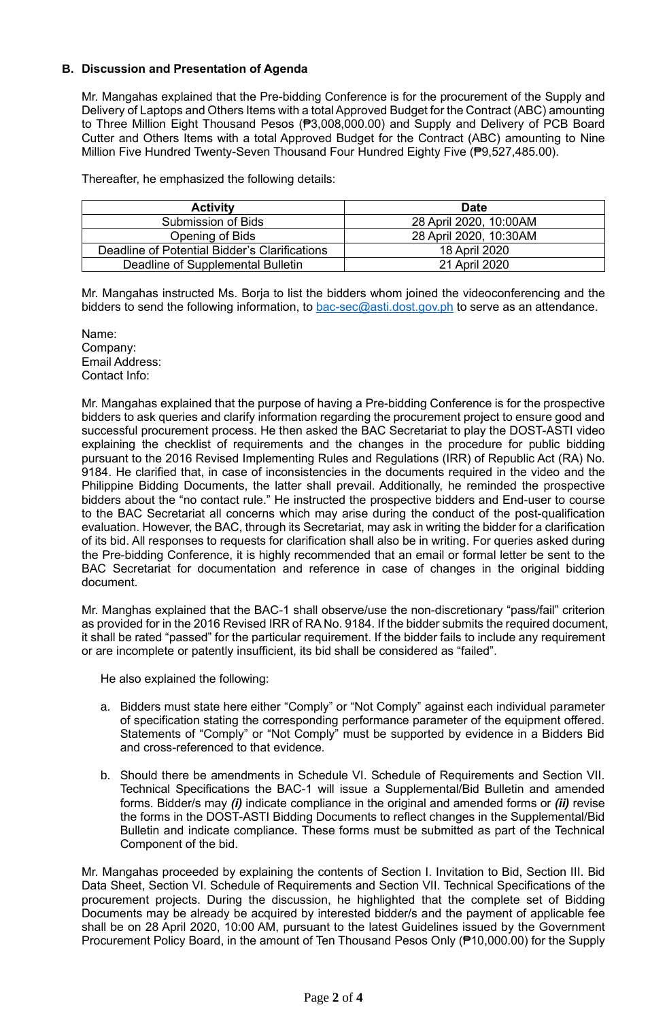### **B. Discussion and Presentation of Agenda**

Mr. Mangahas explained that the Pre-bidding Conference is for the procurement of the Supply and Delivery of Laptops and Others Items with a total Approved Budget for the Contract (ABC) amounting to Three Million Eight Thousand Pesos (₱3,008,000.00) and Supply and Delivery of PCB Board Cutter and Others Items with a total Approved Budget for the Contract (ABC) amounting to Nine Million Five Hundred Twenty-Seven Thousand Four Hundred Eighty Five (₱9,527,485.00).

Thereafter, he emphasized the following details:

| <b>Activity</b>                               | <b>Date</b>            |
|-----------------------------------------------|------------------------|
| Submission of Bids                            | 28 April 2020, 10:00AM |
| Opening of Bids                               | 28 April 2020, 10:30AM |
| Deadline of Potential Bidder's Clarifications | 18 April 2020          |
| Deadline of Supplemental Bulletin             | 21 April 2020          |

Mr. Mangahas instructed Ms. Borja to list the bidders whom joined the videoconferencing and the bidders to send the following information, to [bac-sec@asti.dost.gov.ph](mailto:bac-sec@asti.dost.gov.ph) to serve as an attendance.

Name: Company: Email Address: Contact Info:

Mr. Mangahas explained that the purpose of having a Pre-bidding Conference is for the prospective bidders to ask queries and clarify information regarding the procurement project to ensure good and successful procurement process. He then asked the BAC Secretariat to play the DOST-ASTI video explaining the checklist of requirements and the changes in the procedure for public bidding pursuant to the 2016 Revised Implementing Rules and Regulations (IRR) of Republic Act (RA) No. 9184. He clarified that, in case of inconsistencies in the documents required in the video and the Philippine Bidding Documents, the latter shall prevail. Additionally, he reminded the prospective bidders about the "no contact rule." He instructed the prospective bidders and End-user to course to the BAC Secretariat all concerns which may arise during the conduct of the post-qualification evaluation. However, the BAC, through its Secretariat, may ask in writing the bidder for a clarification of its bid. All responses to requests for clarification shall also be in writing. For queries asked during the Pre-bidding Conference, it is highly recommended that an email or formal letter be sent to the BAC Secretariat for documentation and reference in case of changes in the original bidding document.

Mr. Manghas explained that the BAC-1 shall observe/use the non-discretionary "pass/fail" criterion as provided for in the 2016 Revised IRR of RA No. 9184. If the bidder submits the required document, it shall be rated "passed" for the particular requirement. If the bidder fails to include any requirement or are incomplete or patently insufficient, its bid shall be considered as "failed".

He also explained the following:

- a. Bidders must state here either "Comply" or "Not Comply" against each individual parameter of specification stating the corresponding performance parameter of the equipment offered. Statements of "Comply" or "Not Comply" must be supported by evidence in a Bidders Bid and cross-referenced to that evidence.
- b. Should there be amendments in Schedule VI. Schedule of Requirements and Section VII. Technical Specifications the BAC-1 will issue a Supplemental/Bid Bulletin and amended forms. Bidder/s may *(i)* indicate compliance in the original and amended forms or *(ii)* revise the forms in the DOST-ASTI Bidding Documents to reflect changes in the Supplemental/Bid Bulletin and indicate compliance. These forms must be submitted as part of the Technical Component of the bid.

Mr. Mangahas proceeded by explaining the contents of Section I. Invitation to Bid, Section III. Bid Data Sheet, Section VI. Schedule of Requirements and Section VII. Technical Specifications of the procurement projects. During the discussion, he highlighted that the complete set of Bidding Documents may be already be acquired by interested bidder/s and the payment of applicable fee shall be on 28 April 2020, 10:00 AM, pursuant to the latest Guidelines issued by the Government Procurement Policy Board, in the amount of Ten Thousand Pesos Only (₱10,000.00) for the Supply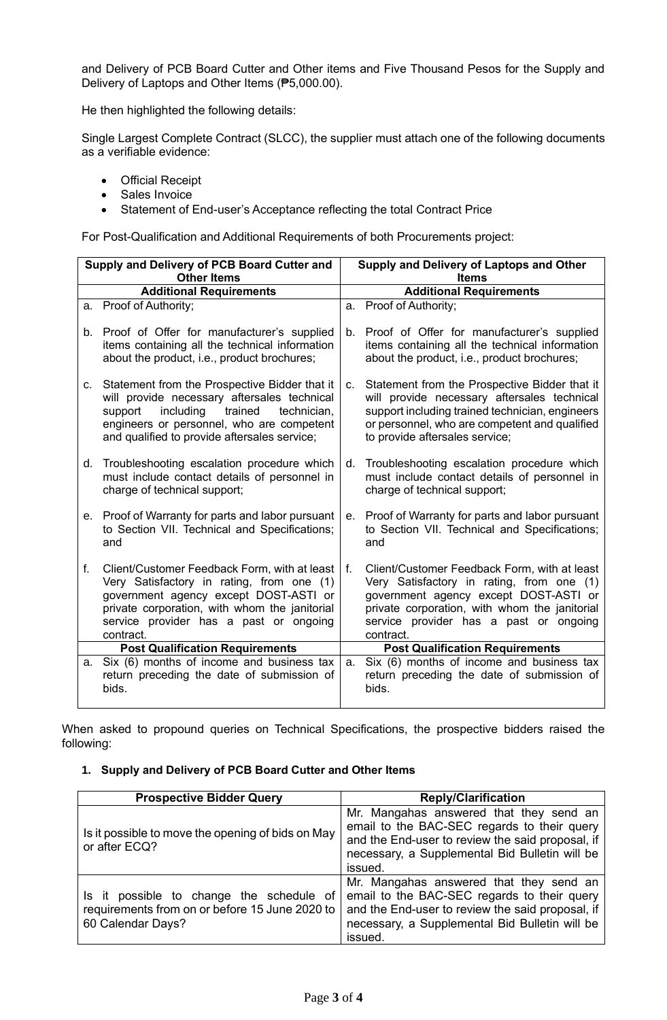and Delivery of PCB Board Cutter and Other items and Five Thousand Pesos for the Supply and Delivery of Laptops and Other Items (₱5,000.00).

He then highlighted the following details:

Single Largest Complete Contract (SLCC), the supplier must attach one of the following documents as a verifiable evidence:

- Official Receipt
- Sales Invoice
- Statement of End-user's Acceptance reflecting the total Contract Price

For Post-Qualification and Additional Requirements of both Procurements project:

| Supply and Delivery of PCB Board Cutter and<br><b>Other Items</b> |                                                                                                                                                                                                                                                 | Supply and Delivery of Laptops and Other |                                                                                                                                                                                                                                            |  |
|-------------------------------------------------------------------|-------------------------------------------------------------------------------------------------------------------------------------------------------------------------------------------------------------------------------------------------|------------------------------------------|--------------------------------------------------------------------------------------------------------------------------------------------------------------------------------------------------------------------------------------------|--|
| <b>Additional Requirements</b>                                    |                                                                                                                                                                                                                                                 |                                          | <b>Items</b><br><b>Additional Requirements</b>                                                                                                                                                                                             |  |
|                                                                   | Proof of Authority;                                                                                                                                                                                                                             |                                          | a. Proof of Authority;                                                                                                                                                                                                                     |  |
| a.                                                                |                                                                                                                                                                                                                                                 |                                          |                                                                                                                                                                                                                                            |  |
|                                                                   | b. Proof of Offer for manufacturer's supplied<br>items containing all the technical information<br>about the product, i.e., product brochures;                                                                                                  |                                          | b. Proof of Offer for manufacturer's supplied<br>items containing all the technical information<br>about the product, i.e., product brochures;                                                                                             |  |
| $\mathbf{C}$ .                                                    | Statement from the Prospective Bidder that it<br>will provide necessary aftersales technical<br>including trained<br>technician,<br>support<br>engineers or personnel, who are competent<br>and qualified to provide aftersales service;        | C <sub>1</sub>                           | Statement from the Prospective Bidder that it<br>will provide necessary aftersales technical<br>support including trained technician, engineers<br>or personnel, who are competent and qualified<br>to provide aftersales service;         |  |
| d.                                                                | Troubleshooting escalation procedure which<br>must include contact details of personnel in<br>charge of technical support;                                                                                                                      | d.                                       | Troubleshooting escalation procedure which<br>must include contact details of personnel in<br>charge of technical support;                                                                                                                 |  |
|                                                                   | e. Proof of Warranty for parts and labor pursuant<br>to Section VII. Technical and Specifications;<br>and                                                                                                                                       | е.                                       | Proof of Warranty for parts and labor pursuant<br>to Section VII. Technical and Specifications;<br>and                                                                                                                                     |  |
| f.                                                                | Client/Customer Feedback Form, with at least   f.<br>Very Satisfactory in rating, from one (1)<br>government agency except DOST-ASTI or<br>private corporation, with whom the janitorial<br>service provider has a past or ongoing<br>contract. |                                          | Client/Customer Feedback Form, with at least<br>Very Satisfactory in rating, from one (1)<br>government agency except DOST-ASTI or<br>private corporation, with whom the janitorial<br>service provider has a past or ongoing<br>contract. |  |
|                                                                   | <b>Post Qualification Requirements</b>                                                                                                                                                                                                          |                                          | <b>Post Qualification Requirements</b>                                                                                                                                                                                                     |  |
|                                                                   | a. Six (6) months of income and business tax<br>return preceding the date of submission of<br>bids.                                                                                                                                             | a.                                       | Six (6) months of income and business tax<br>return preceding the date of submission of<br>bids.                                                                                                                                           |  |

When asked to propound queries on Technical Specifications, the prospective bidders raised the following:

#### **1. Supply and Delivery of PCB Board Cutter and Other Items**

| <b>Prospective Bidder Query</b>                                                                                 | <b>Reply/Clarification</b>                                                                                                                                                                              |  |
|-----------------------------------------------------------------------------------------------------------------|---------------------------------------------------------------------------------------------------------------------------------------------------------------------------------------------------------|--|
| Is it possible to move the opening of bids on May<br>or after ECQ?                                              | Mr. Mangahas answered that they send an<br>email to the BAC-SEC regards to their query<br>and the End-user to review the said proposal, if<br>necessary, a Supplemental Bid Bulletin will be<br>issued. |  |
| Is it possible to change the schedule of<br>requirements from on or before 15 June 2020 to<br>60 Calendar Days? | Mr. Mangahas answered that they send an<br>email to the BAC-SEC regards to their query<br>and the End-user to review the said proposal, if<br>necessary, a Supplemental Bid Bulletin will be<br>issued. |  |